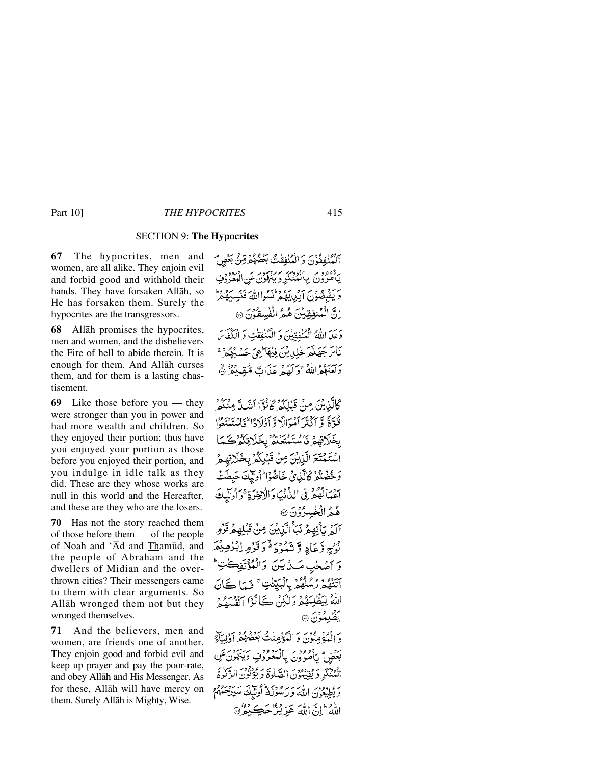# SECTION 9: **The Hypocrites**

**67** The hypocrites, men and women, are all alike. They enjoin evil and forbid good and withhold their hands. They have forsaken Allåh, so He has forsaken them. Surely the hypocrites are the transgressors.

**68** Allåh promises the hypocrites, men and women, and the disbelievers the Fire of hell to abide therein. It is enough for them. And Allåh curses them, and for them is a lasting chastisement.

**69** Like those before you — they were stronger than you in power and had more wealth and children. So they enjoyed their portion; thus have you enjoyed your portion as those before you enjoyed their portion, and you indulge in idle talk as they did. These are they whose works are null in this world and the Hereafter, and these are they who are the losers.

**70** Has not the story reached them of those before them — of the people of Noah and 'Åd and Tham∂d, and the people of Abraham and the dwellers of Midian and the overthrown cities? Their messengers came to them with clear arguments. So Allåh wronged them not but they wronged themselves.

**71** And the believers, men and women, are friends one of another. They enjoin good and forbid evil and keep up prayer and pay the poor-rate, and obey Allåh and His Messenger. As for these, Allåh will have mercy on them. Surely Allåh is Mighty, Wise.

آلْمُنْفِقُونَ وَالْمُنْفِقْتُ بَعْضُهُمْ قِنْ بِمَضْ مِنْ بِأَمْرُونَ بِالْمُتَكَّرِ وَبِنَهْوَنَ عَنِ الْمَعْرُوْفِ وَيَقْبِصُوْنَ أَيْدِيدِيهُمْ نَسُوااللَّهَ فَنُسِيَهُمْرٌ إِنَّ الْمُنْفِقِيَّنَ هُمُ الْفُسِقْوَنَ ۞ دَعَدَ اللَّهُ الْمُنْفِقِينَ وَ الْمُنْفِقِتِ وَ الْكُفَّاسَ نَأْسَ جَهَنَّعَ خَلِيدِينَ فِيهَأَ هِيَ حَسْبُهُمْ مَحْسَنَةً بِرَبِيَّةٍ وَاللَّهُ بِهِ بِرَبِّعُ مِنَّ أَنْ مُتَعَلَّكُمْ ﴾

كَالَّذِينَ مِنْ قَبْلِكُمْ كَانُوۡٓا أَنۡنَبَ مِنۡكُمۡ ۚ نْتُوَّةً وَّ أَكْثَرَ أَمْهَ الَّا وَ أَوْلَادًّا ۖ فَأَيْسَنَعْتُوْا بِخَلَاتِهِمْ نَاسُتَمْتَعُنّْهُ بِخَلَاتِكُمْكَمَا اسْتَمْتَعَ الَّيْايِنَ مِنْ قَبَٰلِكُمْ بِخَلَاقِهِمْ وَخْضُنُّهُ كَالَّذِى خَاضُوْا أُولَّيْكَ حَبِطَتُ بِهِ بِٱلْهُمْرِ فِي الدُّنْبَادَ الرُّخِرَةِ ۚ وَأُولَيْكَ هُمُ الْخُسِرُوْنَ @

آلَهُمْ يَأْتِهِمْ نَبَأُ الَّذِينَ مِنْ قَبْلِهِمْ قَوْمِ نْوْجِ وَعَادِ وَيَشْوُدُ فَوَقِوْمِ اِبْلِهِيْمَ وَ اصْحٰبِ مَكْ يَنَ وَالْمُؤْتَفِكْتِ ۚ بِرْدِهِ وَ وَقَوْمٍ بِالْبَيِّنْتِ ۚ فَيَا كَانَ اللَّهُ لِيَظْلِمَهُمْ وَلٰكِنِّ كَانُوْٓا آنِفْسَهُمْ يَظَلِمُوْنَ ۞

وَ الْمُؤْمِنُونَ وَ الْمُؤْمِنْتُ بَعْضُهُمْ أَوْلِيَاْءٍ برو مردوره دون پانېدروو.<br>بعض پامرون پانېغروپ وينهون عن الْمُنْكَرِ وَيُقِيْبُونَ الصَّلَوةَ وَيُؤْتَوْنَ الزَّكْرِةَ ر و دوور ۱۰ در د وی ام سایر در دوو.<br>و یُطِیعُون اللّٰه وَرَسُولُهٔ اُولیکِ سیرَحْمَهُمْ اللَّهُ إِنَّ اللَّهَ عَزِيْزٌ حَڪِبُوْ ۞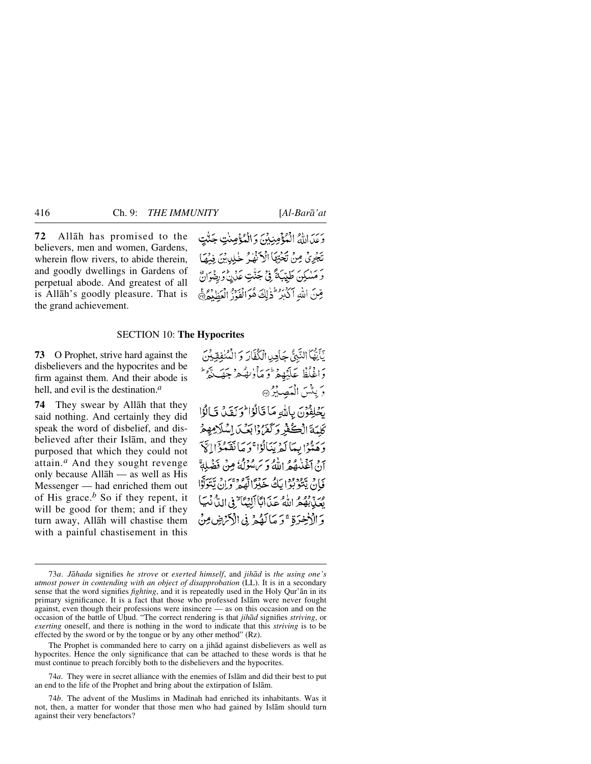**72** Allåh has promised to the believers, men and women, Gardens, wherein flow rivers, to abide therein. and goodly dwellings in Gardens of perpetual abode. And greatest of all is Allåh's goodly pleasure. That is the grand achievement.

وَعَدَ اللَّهُ الْمُؤْمِنِيْنَ وَالْمُؤْمِنٰتِ جَنَّتٍ تَجْرِيٌّ مِنْ تَجْتِهَا الْآنَهُمْ خْلِيدِيْنَ فِيضًا وَ مَسْكِنَ طَيِّبَةً فِي جَنّْتِ عَدْنُ وَرِضْوَانٌ قِينَ اللهِ أَكْبَدُ لِمَنْ لَكَ هُوَ الْعَذْ الْعَطْلِهِ ۞

# SECTION 10: **The Hypocrites**

**73** O Prophet, strive hard against the disbelievers and the hypocrites and be firm against them. And their abode is hell, and evil is the destination.*<sup>a</sup>*

**74** They swear by Allåh that they said nothing. And certainly they did speak the word of disbelief, and disbelieved after their Islåm, and they purposed that which they could not attain.*<sup>a</sup>* And they sought revenge only because Allåh — as well as His Messenger — had enriched them out of His grace.*<sup>b</sup>* So if they repent, it will be good for them; and if they turn away, Allåh will chastise them with a painful chastisement in this

يَأَيَّهُمَا النَّبِيُّ حَامِدِ الْكُفَّارَ وَ الْمُنْفِقِيْنَ وَاغْلُظْ عَلَيۡهِمۡ وَمَأْرُبِهُمۡ جَهَيۡتَمُوۡ ۖ وَ بِنَثْسَ الْمَصِيْرُ۞ يَحْلِفُونَ بِاللَّهِ مَا قَالُوۡ الْحِرَبَقَ فَالُوَٰا كَلّْمَةَ الْكُفْرُ وَكَفَرُوْا بَعْبَ اِسْلَامِهِعْ وَهَدُّوا بِيمَا لَمْ يَنَالُوْا ۚ وَ مَا نَقَدْ وَٓ إِيَّ يَنْ جِيَّنْهُ مِنْ مَدَّامِ وَسَ سُؤْلَةً مِنْ فَضْهِ فَإِنْ يَتْوَبُّوا يَكُ خَيْرًا لَهُمْ وَإِنْ يَتَوَلَّوْا مِرَّدٌ بِهُمْ اللَّهُ عَذَابًا أَلِيْمَا ٌ فِي اللَّهُ نَبَيَا وَالْأَخِرَةِ ۚ وَ مَالَهُمْ فِى الْأَنْهَضِ مِنْ

The Prophet is commanded here to carry on a jihåd against disbelievers as well as hypocrites. Hence the only significance that can be attached to these words is that he must continue to preach forcibly both to the disbelievers and the hypocrites.

74*a*. They were in secret alliance with the enemies of Islåm and did their best to put an end to the life of the Prophet and bring about the extirpation of Islåm.

74*b*. The advent of the Muslims in Madinah had enriched its inhabitants. Was it not, then, a matter for wonder that those men who had gained by Islåm should turn against their very benefactors?

<sup>73</sup>*a*. *Jåhada* signifies *he strove* or *exerted himself*, and *jihåd* is *the using one's utmost power in contending with an object of disapprobation* (LL). It is in a secondary sense that the word signifies *fighting*, and it is repeatedly used in the Holy Qur'ån in its primary significance. It is a fact that those who professed Islåm were never fought against, even though their professions were insincere — as on this occasion and on the occasion of the battle of Uƒud. "The correct rendering is that *jihåd* signifies *striving*, or *exerting* oneself, and there is nothing in the word to indicate that this *striving* is to be effected by the sword or by the tongue or by any other method" (Rz).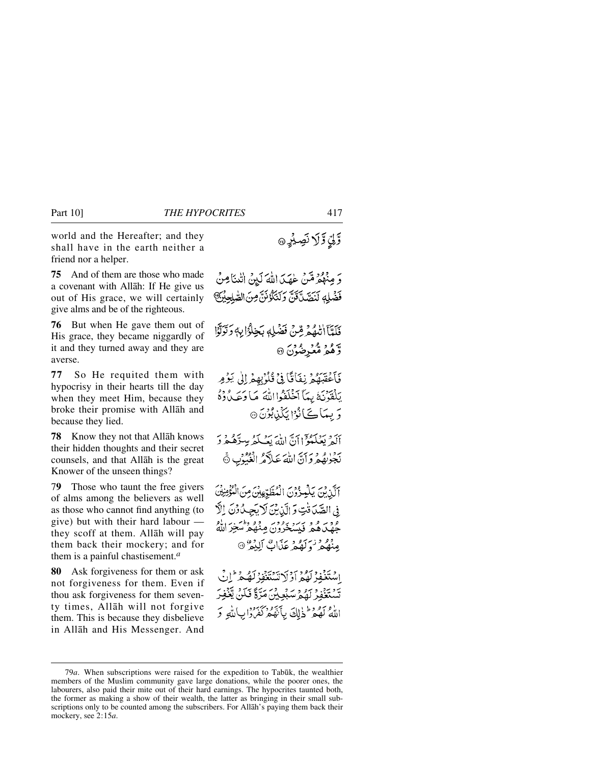world and the Hereafter; and they shall have in the earth neither a friend nor a helper.

**75** And of them are those who made a covenant with Allåh: If He give us out of His grace, we will certainly give alms and be of the righteous.

**76** But when He gave them out of His grace, they became niggardly of it and they turned away and they are averse.

**77** So He requited them with hypocrisy in their hearts till the day when they meet Him, because they broke their promise with Allåh and because they lied.

**78** Know they not that Allåh knows their hidden thoughts and their secret counsels, and that Allåh is the great Knower of the unseen things?

7**9** Those who taunt the free givers of alms among the believers as well as those who cannot find anything (to give) but with their hard labour they scoff at them. Allåh will pay them back their mockery; and for them is a painful chastisement.*<sup>a</sup>*

**80** Ask forgiveness for them or ask not forgiveness for them. Even if thou ask forgiveness for them seventy times, Allåh will not forgive them. This is because they disbelieve in Allåh and His Messenger. And

وَ مِنْهُمْ مِّنْ عٰهَدَ اللَّهَ لَيْنُ اللَّهَ لَهَ لَهُ اللَّهُ فَضْلِهِ لَنَصَّدَّقَنَّ وَلَنَكُوْنَنَّ مِنَ الصَّلِحِيْنَ فَلَعَّآ اللَّهُمْ قِنْ فَضْلِهِ بَخِلْوًا بِهِ وَتَوَلَّوْا و و و و د و د ور ده دي<br>و هغه هغېز ضون ۞ فَأَعْقَبَهُمْ نِفَاقًا فِي قُلُوْبِهِمْ إِلَىٰ يَوْمِر يَلْقَوْنَهُ بِيِمَآ أَخۡلَفُوااللَّهَ مَا وَعَبۡ وَٰهُ وَ بِيمَاكَ أَنُوْا بَكَنْ بُوْنَ ۞ أَكَبِرْ بِمَشْكَوْلَ إِنَّ اللَّهَ بِعَبْكُمْ بِسرِّهُ مِرْ دَ نَجُوٰنِهُ فِرِدَانَ اللَّهَ عَلاَّهُ الْغُبُوْبِ ۞ أَلَّذِيْنَ يَلْمُؤْوُنَ الْمُطَّوِّعِينَ مِنَ الْتُؤْمِنِيُّنَ

فِي الصَّدَفْتِ وَ الَّذِيْنَ لَا يَجِيدُوْنَ إِلَّا وور و و برر برور وو وام برایاو<br>جهدهم فیسخرون مِنْهُمْ سَخِرَ اللّهُ وو درسور بر.<br>مِنْهُمْ وَلَهُمْ عَلَّابٌ أَلِيْمُ ®

اِسْتَغْفِرْ لَهُمْ أَوْلَاتِسْتَغْفِرْ لَهُ مِرَّ إِنِّ يَّدْ يَبْنُو دَءٍ وَ سَكْفِيشٍ مَتَرَةً فَكُنَّ يَعْفِرُ اللَّهُ لَهُمْ فَخَالِقَ بِأَنَّهُمْ كَفَرُوْا بِأَلَّهِ وَ

وَّلِيِّ وَّ لَا نَصِيْرِ ۞

<sup>79</sup>*a*. When subscriptions were raised for the expedition to Tabūk, the wealthier members of the Muslim community gave large donations, while the poorer ones, the labourers, also paid their mite out of their hard earnings. The hypocrites taunted both, the former as making a show of their wealth, the latter as bringing in their small subscriptions only to be counted among the subscribers. For Allåh's paying them back their mockery, see 2:15*a*.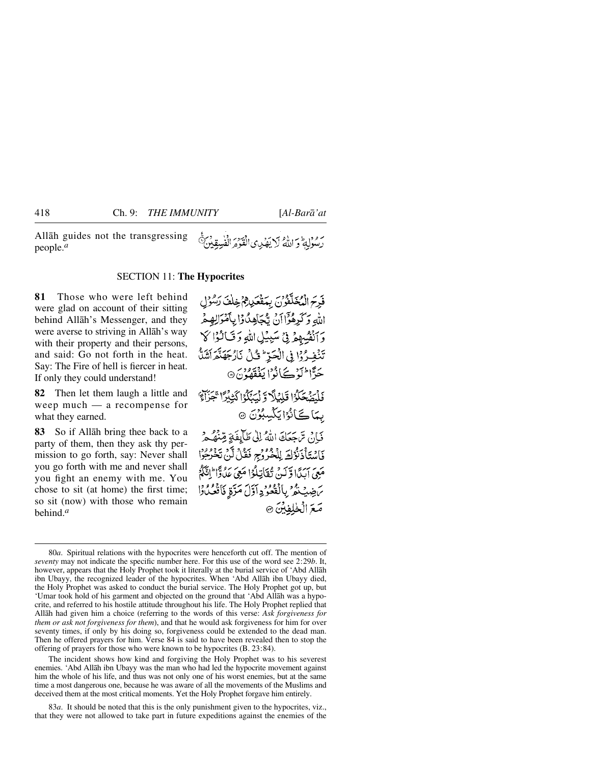Allåh guides not the transgressing people.*<sup>a</sup>*

# رَسُوْلِةً وَ اللَّهُ لَا يَهْدِى الْقَوْمَ الْفُسِقِينَ

# SECTION 11: **The Hypocrites**

**81** Those who were left behind were glad on account of their sitting behind Allåh's Messenger, and they were averse to striving in Allåh's way with their property and their persons, and said: Go not forth in the heat. Say: The Fire of hell is fiercer in heat. If only they could understand!

**82** Then let them laugh a little and weep much — a recompense for what they earned.

**83** So if Allåh bring thee back to a party of them, then they ask thy permission to go forth, say: Never shall you go forth with me and never shall you fight an enemy with me. You chose to sit (at home) the first time; so sit (now) with those who remain behind.*<sup>a</sup>*

فَدِحَ الْمُخَلَّقُونَ بِمَقْعَكِينِ ثَمْ خِلْفَ رَسُوُل اللهِ وَكَرِهُوَّا أَنْ يُجَاهِدُوْا بِأَمْوَالِهِمْ وَانْفُسِهِمْ فِي سَبِيْلِ اللّهِ وَقَالُوْا لَا تَنْفِرُوْا فِي الْحَرِّ ۚ قُلْ نَارُجَهَنَّهِ ٱشَلَّ حَرًّا الَّذِكَانُوْا يَفْقَهُونَ۞ فَلْمَتَّحَكُّوا قَلِيْلًا وَلَيَكَّوُا كَثِيْرًا تَجَزَآهَ بِمَاكَانُوُايَكْسِبُوُنَ ۞ فَإِنْ تَرْجَعَكَ اللَّهُ إِلَى طَآيِفَةٍ مِّنْهُ هُ فَاسْتَأْذَنُوْكَ لِلْخُرُوجِ فَقُلْ لَنْ تَخْرُجُوْا مَعِيَ إِيَدَا وَّلَيْهِ، ثَقَاتِلُوْا مَعِيَ عَدُوَّا ۖ إِيَّكُمْ بَنْ خِيثِ ثَمْرٌ بِالْفُعُوُدِ آوَّلَ مَرَّةٍ فَأَفْعُلُوْا صَعَ الْخَلِفِيْنَ ۞

The incident shows how kind and forgiving the Holy Prophet was to his severest enemies. 'Abd Allåh ibn Ubayy was the man who had led the hypocrite movement against him the whole of his life, and thus was not only one of his worst enemies, but at the same time a most dangerous one, because he was aware of all the movements of the Muslims and deceived them at the most critical moments. Yet the Holy Prophet forgave him entirely.

83*a*. It should be noted that this is the only punishment given to the hypocrites, viz., that they were not allowed to take part in future expeditions against the enemies of the

<sup>80</sup>*a*. Spiritual relations with the hypocrites were henceforth cut off. The mention of *seventy* may not indicate the specific number here. For this use of the word see 2:29*b*. It, however, appears that the Holy Prophet took it literally at the burial service of 'Abd Allåh ibn Ubayy, the recognized leader of the hypocrites. When 'Abd Allåh ibn Ubayy died, the Holy Prophet was asked to conduct the burial service. The Holy Prophet got up, but 'Umar took hold of his garment and objected on the ground that 'Abd Allåh was a hypocrite, and referred to his hostile attitude throughout his life. The Holy Prophet replied that Allåh had given him a choice (referring to the words of this verse: *Ask forgiveness for them or ask not forgiveness for them*), and that he would ask forgiveness for him for over seventy times, if only by his doing so, forgiveness could be extended to the dead man. Then he offered prayers for him. Verse 84 is said to have been revealed then to stop the offering of prayers for those who were known to be hypocrites (B. 23:84).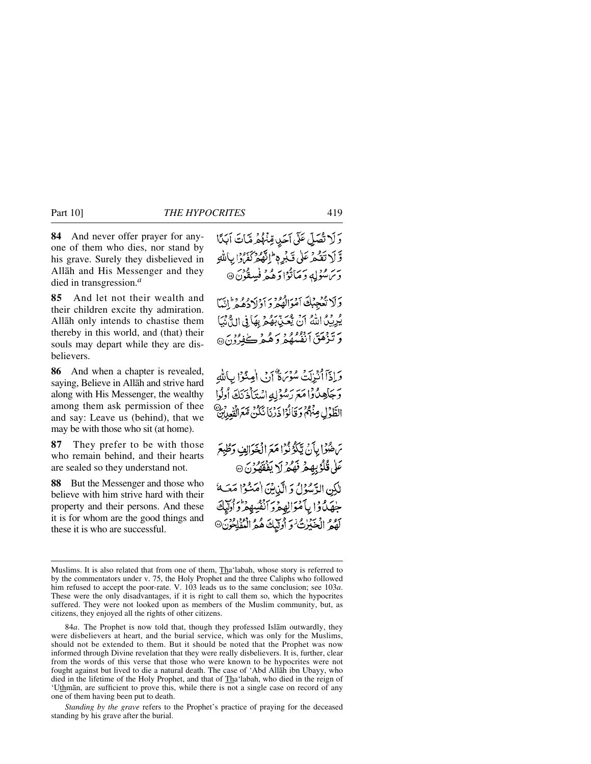**84** And never offer prayer for anyone of them who dies, nor stand by his grave. Surely they disbelieved in Allåh and His Messenger and they died in transgression.*<sup>a</sup>*

**85** And let not their wealth and their children excite thy admiration. Allåh only intends to chastise them thereby in this world, and (that) their souls may depart while they are disbelievers.

**86** And when a chapter is revealed, saying, Believe in Allåh and strive hard along with His Messenger, the wealthy among them ask permission of thee and say: Leave us (behind), that we may be with those who sit (at home).

**87** They prefer to be with those who remain behind, and their hearts are sealed so they understand not.

**88** But the Messenger and those who believe with him strive hard with their property and their persons. And these it is for whom are the good things and these it is who are successful.

وَلَا تُصَلِّي عَلَى آحَدٍ قِنْهُمْ مَّاتَ أَبَدًا وَّ لَا تَقْبِرْ عَلَى قَبْرِهِ ۖ إِنَّهُمْ نَفْرُوْا بِبَاللَّهِ بر رود په د مانوا د هېمز فسقون @

وَلَا تُعْجِبُكَ أَمْوَالْهُجْرَ دَادْلَادُهُمْ أَنَّهَا يُرِيِّلُ اللَّهُ أَنَّ يُعَيِّدِ بَهُمْ بِهَا فِي الدَّيْنَ وَتَّذْهَقَ أَنْفُسُهُمُّ وَهُمْ كَفِرُدُنَ®

وَإِذَا أُنْزِلَتْ سُؤْمَاةٌ إِنْ الْعِنْزَا بِاللَّهِ وَجَاهِدُوْا مَعَ رَسُوْلِهِ اسْتَأْذَيَكَ أُولُوا الطَّوْلِ مِنْهُمْ وَقَالُوْا ذَرْنَا نَكُنْ مَّعَ الْفُعِلَيْنَ

بَرْهُوْا بِأَنْ يَكُونُوا مَعَ الْخَوَالِفِ وَطُبِعَ عَلٰى قُلُوۡبِهِمۡ نَهُمۡ لَا يَفۡقَهُوۡنَ ۞ لَٰكِنِ الدَّسُوُلُ وَ الَّذِينَ اٰمَنُوْا مَتَ) جُهَنْ وَا بِأَمْوَالِهِ مِرْ أَنْفُسِهِ مِنْ أُولِيكَ كَفِيمُ الْحَيْرٰتُ وَ أُولَّيْكَ هُمُّ الْمُفْلِحُو

84*a*. The Prophet is now told that, though they professed Islåm outwardly, they were disbelievers at heart, and the burial service, which was only for the Muslims, should not be extended to them. But it should be noted that the Prophet was now informed through Divine revelation that they were really disbelievers. It is, further, clear from the words of this verse that those who were known to be hypocrites were not fought against but lived to die a natural death. The case of 'Abd Allåh ibn Ubayy, who died in the lifetime of the Holy Prophet, and that of Tha'labah, who died in the reign of 'Uthmån, are sufficient to prove this, while there is not a single case on record of any one of them having been put to death.

*Standing by the grave* refers to the Prophet's practice of praying for the deceased standing by his grave after the burial.

Muslims. It is also related that from one of them, Tha'labah, whose story is referred to by the commentators under v. 75, the Holy Prophet and the three Caliphs who followed him refused to accept the poor-rate. V. 103 leads us to the same conclusion; see 103*a*. These were the only disadvantages, if it is right to call them so, which the hypocrites suffered. They were not looked upon as members of the Muslim community, but, as citizens, they enjoyed all the rights of other citizens.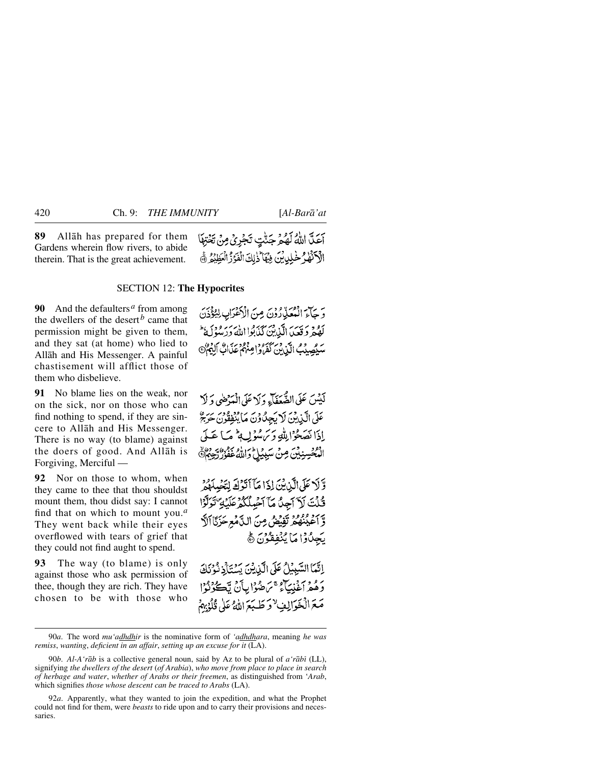**89** Allåh has prepared for them Gardens wherein flow rivers, to abide therein. That is the great achievement. أَعَلَّ اللَّهُ لَهُمْ جَنَّتٍ تَجْرِيُ مِنْ تَخْتِهَا الْأَكْتُهِ ۚ خَٰلِي بِّنَ فِيَهَا ۖ ذٰلِكَ الْفَوَزُ الْعَظِيْمُ ۚ ﴾

## SECTION 12: **The Hypocrites**

**90** And the defaulters*<sup>a</sup>* from among the dwellers of the desert<sup>b</sup> came that permission might be given to them, and they sat (at home) who lied to Allåh and His Messenger. A painful chastisement will afflict those of them who disbelieve.

**91** No blame lies on the weak, nor on the sick, nor on those who can find nothing to spend, if they are sincere to Allåh and His Messenger. There is no way (to blame) against the doers of good. And Allåh is Forgiving, Merciful —

**92** Nor on those to whom, when they came to thee that thou shouldst mount them, thou didst say: I cannot find that on which to mount you.*<sup>a</sup>* They went back while their eyes overflowed with tears of grief that they could not find aught to spend.

**93** The way (to blame) is only against those who ask permission of thee, though they are rich. They have chosen to be with those who

وَ حَآءَ الْعُعَلِّيْ رُوْنَ مِنَ الْأَعْرَابِ لِيُؤْذَنَ كَفْحَرِ دَقَعَيْدَ الَّذِينَ كَذَبَوْا اللَّهَ دَرَسُوْلَهُ ۚ سَمِّيهِيدَبُ الَّيْنِينَ كَفَرُوا مِنْهُمْ عَذَابٌ أَلِيْمٌ @

لَيْسَ عَلَى الصُّحَفَآءِ وَلَا عَلَى الْمَدْضَى وَلَا عَلَى الَّيْدِينَ لَا يَجِدُّوْنَ مَا يُنْفِقُونِ حَرْجَ إِذَا نَصَحُوْا لِلَّهِ وَيَرَسُوْلِ لِمَ مَا عَبِلَى الْمُخْسِنِيْنَ مِنْ سَبِيْلِ دَاللَّهُ غَفُوْرٌ رَحِيْرٌ ﴾

وَّلاً عَلَى الَّذِينَ إِذَا مَآ أَنَّوۡكَ لِنَّصُلَهُمۡ كُنْتَ لَاَ آجِنُ مَآ آَجِيلُكُمْ عَلَيْهِ تَوَلَّوْا وَّ آَعَيْنَٰهُمْ تَفِيْضُ مِنَ الدَّمْعِ حَزَيَّا اَلَّ بَجِدُوۡ ٰ مَآ يُنۡفِقُوۡنَ ۞

اِنَّمَا السَّبِبِيْلُ عَلَى الَّذِيْنَ يَسْتَأْذِنُوْنَكَ دَهُمْ أَغْنِيَآءُ مَمَ ضُوۡابِأَنۡ تَڪُوۡنُوۡا مَعَ الْخَوَالِفٍ ٌ وَ طَبَعَ اللَّهُ عَلَى قُلُهُ بِهِمْ

<sup>90</sup>*a*. The word *mu'adhdhir* is the nominative form of *'adhdhara*, meaning *he was remiss*, *wanting*, *deficient in an affair*, *setting up an excuse for it* (LA).

<sup>90</sup>*b*. *Al-A'råb* is a collective general noun, said by Az to be plural of *a'råbß* (LL), signifying *the dwellers of the desert* (*of Arabia*), *who move from place to place in search of herbage and water*, *whether of Arabs or their freemen*, as distinguished from '*Arab*, which signifies *those whose descent can be traced to Arabs* (LA).

<sup>92</sup>*a*. Apparently, what they wanted to join the expedition, and what the Prophet could not find for them, were *beasts* to ride upon and to carry their provisions and necessaries.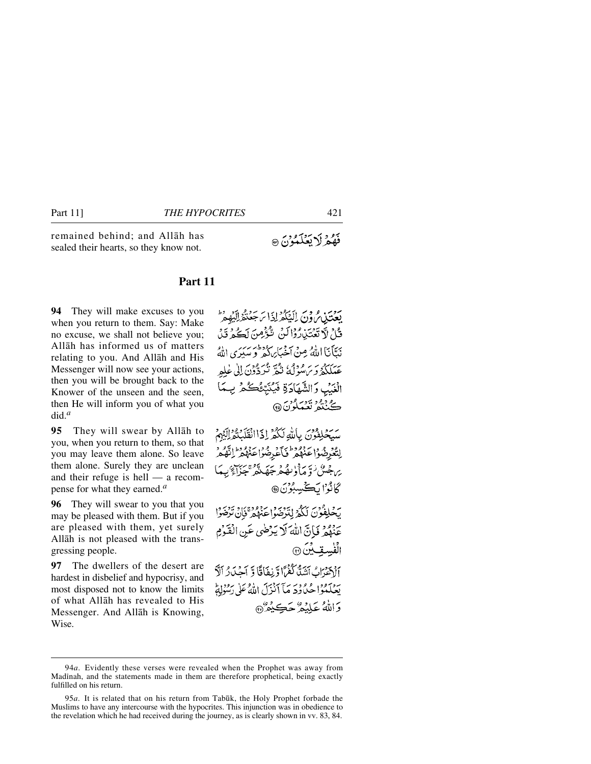remained behind; and Allåh has sealed their hearts, so they know not.

# **Part 11**

**94** They will make excuses to you when you return to them. Say: Make no excuse, we shall not believe you; Allåh has informed us of matters relating to you. And Allåh and His Messenger will now see your actions, then you will be brought back to the Knower of the unseen and the seen, then He will inform you of what you did.*<sup>a</sup>*

**95** They will swear by Allåh to you, when you return to them, so that you may leave them alone. So leave them alone. Surely they are unclean and their refuge is hell — a recompense for what they earned.*<sup>a</sup>*

**96** They will swear to you that you may be pleased with them. But if you are pleased with them, yet surely Allåh is not pleased with the transgressing people.

**97** The dwellers of the desert are hardest in disbelief and hypocrisy, and most disposed not to know the limits of what Allåh has revealed to His Messenger. And Allåh is Knowing, Wise.

يَعْتَدْنِ مُ وْنَ إِلَيْكُمْ إِذَا سَهَعَنْهُ إِلَيْهِ مِرَّ قُامْ لَا تَعْتَبْارُوْالَنْ تَتَّوَّصِنَ لَكُ وَيَ نَتَأَنَا اللَّهُ مِنْ أَخْبَابِرَكُمْ وَ سَيَرَى اللَّهُ عَبْدَ مَدْيَرٍ مِنْ مِنْ قَدْتُهُ شَرِّدُونَ إِلَى عَلَمَ الْغَيْبِ وَالشَّهَادَةِ فَيُنَبِّئُكُكُمْ بِمَا ڪُٺندُ نَعِيَدُونَ@

سَيَّحْلِفُونَ بِاللَّهِ لَكُمْ إِذَاانْقَلَكْتُمْرَلِيْهِمْ لِتَعْرِضُوْا عَنْهُمْ فَأَعْرِضُوا عَنْهُمْ لِنَّهُمْ وَ يرىجىن ووسا ولى محرجها تكر بجزاء بهكا كَانُوُ'ا لَكْسِبُوْنَ®

بَحْلِفْوُنَ لَكُمْ لِتَدْضَوْاعِنْهُمْ فَإِنْ تَرْضَوْا يَهْدُونَ إِنَّ اللَّهَ لَا يَدْضَى عَنِ الْقَوْمِ الفُسِقِيدِينَ @ الصادر السَّدُّ كَفَرًا وَّبِغَافًا وَّ أَجْبَادُ أَلَّا

بِيَجِيدُوا مِعْ وَمَ يَأْ آَنُوْسَ اللَّهُ عَلَى رَبُّنُوْلِةً وَاللَّهُ عَلَيْهُ ٰ جَڪِنْعُرُ۞

فَهُمْ لَا يَعَلَّمُوْنَ ۞

<sup>94</sup>*a*. Evidently these verses were revealed when the Prophet was away from Madinah, and the statements made in them are therefore prophetical, being exactly fulfilled on his return.

<sup>95</sup>*a*. It is related that on his return from Tabūk, the Holy Prophet forbade the Muslims to have any intercourse with the hypocrites. This injunction was in obedience to the revelation which he had received during the journey, as is clearly shown in vv. 83, 84.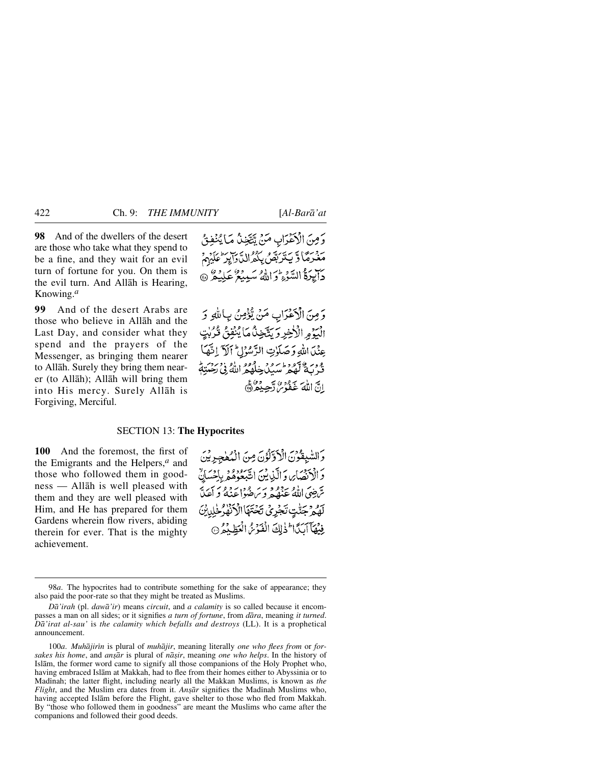**98** And of the dwellers of the desert are those who take what they spend to be a fine, and they wait for an evil turn of fortune for you. On them is the evil turn. And Allåh is Hearing, Knowing.*<sup>a</sup>*

**99** And of the desert Arabs are those who believe in Allåh and the Last Day, and consider what they spend and the prayers of the Messenger, as bringing them nearer to Allåh. Surely they bring them nearer (to Allåh); Allåh will bring them into His mercy. Surely Allåh is Forgiving, Merciful.

وَمِنَ الْأَعْدَابِ مَنْ تَتَّخِنُّ مَا يُنْفِقُ مَغْرَمَا وَّ يَتَدَبَّصُ بِكُّهُ الدَّدَايِدَ عَلَيْهِمْ ب رقم السَّوْءِ وَ اللَّهُ سَبِيعُ عَلِيْهُ ﴾

وَمِنَ الْأَعْزَابِ مَنْ يُؤْمِنُ بِبَالِلَّهِ وَ الْبَرُمِ الْأَخِرِ وَيَتَّخِذُكَمَا يُنْفِقُ قُرُبٰتٍ عِنْدَ اللهِ وَصَلَوٰتِ الرَّسُوْلِ ۚ آلَ ۚ إِنَّهَا ور ويهود اس در داده الله : درد.<br>في به تعمر سيگ خلهم الله في رحبته انَّ اللَّهُ عَفْدُ لَّهُ يَحِبُّرُ ۞

# SECTION 13: **The Hypocrites**

**100** And the foremost, the first of the Emigrants and the Helpers,*<sup>a</sup>* and those who followed them in goodness — Allåh is well pleased with them and they are well pleased with Him, and He has prepared for them Gardens wherein flow rivers, abiding therein for ever. That is the mighty achievement.

وَالسَّبِقُوْنَ الْأَذِّلَوْنَ مِنَ الْمُطْجِدِيْنَ دَ الْإِنْصَابِي وَ الَّذِينَ اتَّبْعُوْهُ وَ بِإِحْسَ سّ ضيّ الله عنصر و سرع در و و سرعت<br>سّ ضيّ الله عنصر و ساختها عنه و آعدّ لَهُمْ جَنّْتٍ تَجْرِيُ تَخْتَهَا الْأَنْهٰرُ خَٰلِدِيْنَ فِيْهَا آَبَدًا لَهِ لِكَ الْفَوْسُ الْعَظِيْمُ @

<sup>98</sup>*a*. The hypocrites had to contribute something for the sake of appearance; they also paid the poor-rate so that they might be treated as Muslims.

*Då'irah* (pl. *dawå'ir*) means *circuit*, and *a calamity* is so called because it encompasses a man on all sides; or it signifies *a turn of fortune*, from *dåra*, meaning *it turned*. *Då'irat al-sau'* is *the calamity which befalls and destroys* (LL). It is a prophetical announcement.

<sup>100</sup>*a*. *Muhājirīn* is plural of *muhājir*, meaning literally *one who flees from* or *forsakes his home*, and *an©år* is plural of *nå©ir*, meaning *one who helps*. In the history of Islåm, the former word came to signify all those companions of the Holy Prophet who, having embraced Islåm at Makkah, had to flee from their homes either to Abyssinia or to Madinah; the latter flight, including nearly all the Makkan Muslims, is known as *the Flight*, and the Muslim era dates from it. *Ansār* signifies the Madinah Muslims who, having accepted Islåm before the Flight, gave shelter to those who fled from Makkah. By "those who followed them in goodness" are meant the Muslims who came after the companions and followed their good deeds.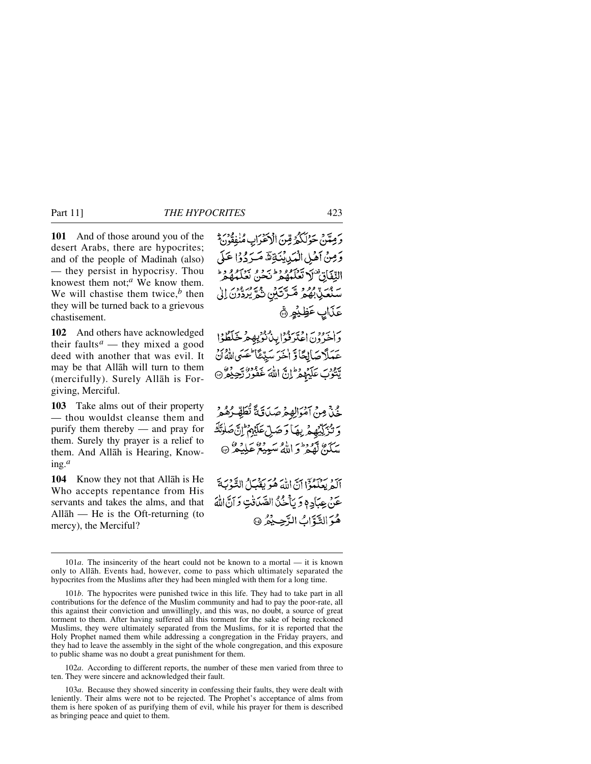**101** And of those around you of the desert Arabs, there are hypocrites; and of the people of Madinah (also) — they persist in hypocrisy. Thou knowest them not;*<sup>a</sup>* We know them. We will chastise them twice, $<sup>b</sup>$  then</sup>

they will be turned back to a grievous chastisement. **102** And others have acknowledged

their faults<sup> $a$ </sup> — they mixed a good deed with another that was evil. It may be that Allåh will turn to them (mercifully). Surely Allåh is Forgiving, Merciful.

**103** Take alms out of their property — thou wouldst cleanse them and purify them thereby — and pray for them. Surely thy prayer is a relief to them. And Allåh is Hearing, Knowing.*<sup>a</sup>*

**104** Know they not that Allåh is He Who accepts repentance from His servants and takes the alms, and that Allåh — He is the Oft-returning (to mercy), the Merciful?

وَمِتَنْ حَوْلَكُمْ قِنَ الْإِحْرَابِ مُنْفِقُونَ \* وَمِنْ أَهْلِ الْمَدِينَةِيَّةَ مَيَرَدُوْا عَلَى النِّفَاقِ لَا تَعَلَّمُهُمْ نَحْنُ نَعَلَمُهُ سْتَعَبِّيٌّ بِهُمْ صَّدَّتَيْنِ شُمَّ يُرَدُّوْنَ إِلَىٰ عَذَابٍ عَظِيْهِ ۞

واخرُون اعْتَرْفُوا بِدْرُوْدِ مِعْرِ حَلَظُوْا عَمَلَا صَالِحًاوَّ اخْرَ سَيِّعًا لَحْسَى اللَّهُ أَنْ يورب عَلَيْهِمْ إِنَّ اللَّهَ غَفُورُ رَّحِيْمٌ @

خُذْ مِنْ آمْوَالِهِمْ صَدَقَةً تُطَهِّرُهُمْ وَ تُزَكِّيْهِمْ بِهَا دَصَلِّ عَلَيْهِمْ ۚ سَكَنَّ لَهُدَهِ وَ اللَّهُ سَبِيْعٌ عَلِيْكُمْ ۞

آلَهُ بِعَلَّمُوٓا آنَّ اللَّهَ هُوَ بَقْبَارُ التَّوْيَةَ عَنْ عِبَادِمٍ وَ بَأَخْنُ الصَّدَقْتِ وَ آنَّ اللَّهَ هُوَ الثَّةَابُ الزَّحِيْدُ ۞

102*a*. According to different reports, the number of these men varied from three to ten. They were sincere and acknowledged their fault.

103*a*. Because they showed sincerity in confessing their faults, they were dealt with leniently. Their alms were not to be rejected. The Prophet's acceptance of alms from them is here spoken of as purifying them of evil, while his prayer for them is described as bringing peace and quiet to them.

<sup>101</sup>*a*. The insincerity of the heart could not be known to a mortal — it is known only to Allåh. Events had, however, come to pass which ultimately separated the hypocrites from the Muslims after they had been mingled with them for a long time.

<sup>101</sup>*b*. The hypocrites were punished twice in this life. They had to take part in all contributions for the defence of the Muslim community and had to pay the poor-rate, all this against their conviction and unwillingly, and this was, no doubt, a source of great torment to them. After having suffered all this torment for the sake of being reckoned Muslims, they were ultimately separated from the Muslims, for it is reported that the Holy Prophet named them while addressing a congregation in the Friday prayers, and they had to leave the assembly in the sight of the whole congregation, and this exposure to public shame was no doubt a great punishment for them.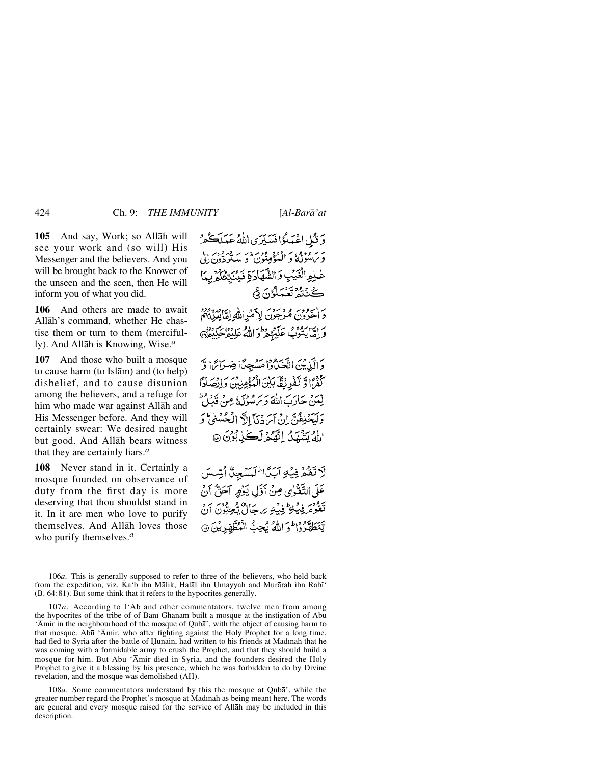**105** And say, Work; so Allåh will see your work and (so will) His Messenger and the believers. And you will be brought back to the Knower of the unseen and the seen, then He will inform you of what you did.

**106** And others are made to await Allåh's command, whether He chastise them or turn to them (mercifully). And Allåh is Knowing, Wise.*<sup>a</sup>*

**107** And those who built a mosque to cause harm (to Islåm) and (to help) disbelief, and to cause disunion among the believers, and a refuge for him who made war against Allåh and His Messenger before. And they will certainly swear: We desired naught but good. And Allåh bears witness that they are certainly liars.*<sup>a</sup>*

**108** Never stand in it. Certainly a mosque founded on observance of duty from the first day is more deserving that thou shouldst stand in it. In it are men who love to purify themselves. And Allåh loves those who purify themselves.*<sup>a</sup>*

دَ قُبْلِ اعْمَلُوْا فَسَبَرَى اللَّهُ عَمَلَڪُمْ یر بر ودو، به دوده در در به مرود الی<br>د پیشونکه و الیموهنون و ستردون الی عْلِمِ الْغَيْبِ وَالشَّهَادَةِ فَيُنَتِّقُكُمْ بِ ڪَٺَٽُهُ تَعْمَلُوُنَ ۾َ واجوور ووجوى لامرالله لقايقي بهم وَإِمَّا يَتَوْفِّ عَلَيْهِمْ وَإِلَّهُ عَلَيْهِ حَكِيْدَهُ وَالَّذِينَ اتَّخَذُوا مَسْجِدًا ضِرَائِ ا كَفَرًا وَتَفْرِيْقًا بِكِنَ الْمُؤْمِنِينَ وَإِنْصَادًا لِّينَ حَادَبَ اللَّهَ وَيَرَامُوْلَ وَمِنْ قَدَامٌ وَلْيَحْلِفُنَّ إِنْ آِسَ دُنَآَ إِلَّا الْجُسُنَى ۖ وَ اللهُ يَشْهَدُ اللَّهُمْ لَڪِيٰ بُوْنَ ۞

لَاتَقْمُ فِيْهِ آيَدًا لَمَسْجِنٌ أَبِّسْسَ عَلَى التَّقْوٰى مِنْ أَوَّلِ يَوْمٍ آخَنٌّ أَنْ تَقْوَمَرِ فِيكِي فِيكِهِ بِرِيحَالٌ يُجِبُّونَ أَنْ يَّتَطَهَّرُوا وَ اللَّهُ يُجِبُّ الْمُطَّهِّرِيْنَ ۞

108*a*. Some commentators understand by this the mosque at Qubå', while the greater number regard the Prophet's mosque at Madinah as being meant here. The words are general and every mosque raised for the service of Allåh may be included in this description.

<sup>106</sup>*a*. This is generally supposed to refer to three of the believers, who held back from the expedition, viz. Ka'b ibn Målik, Halål ibn Umayyah and Murårah ibn Rabß' (B. 64:81). But some think that it refers to the hypocrites generally.

<sup>107</sup>*a*. According to I'Ab and other commentators, twelve men from among the hypocrites of the tribe of of Bani Ghanam built a mosque at the instigation of Abū 'Åmir in the neighbourhood of the mosque of Qubå', with the object of causing harm to that mosque. Ab∂ 'Åmir, who after fighting against the Holy Prophet for a long time, had fled to Syria after the battle of Hunain, had written to his friends at Madinah that he was coming with a formidable army to crush the Prophet, and that they should build a mosque for him. But Ab∂ 'Åmir died in Syria, and the founders desired the Holy Prophet to give it a blessing by his presence, which he was forbidden to do by Divine revelation, and the mosque was demolished (AH).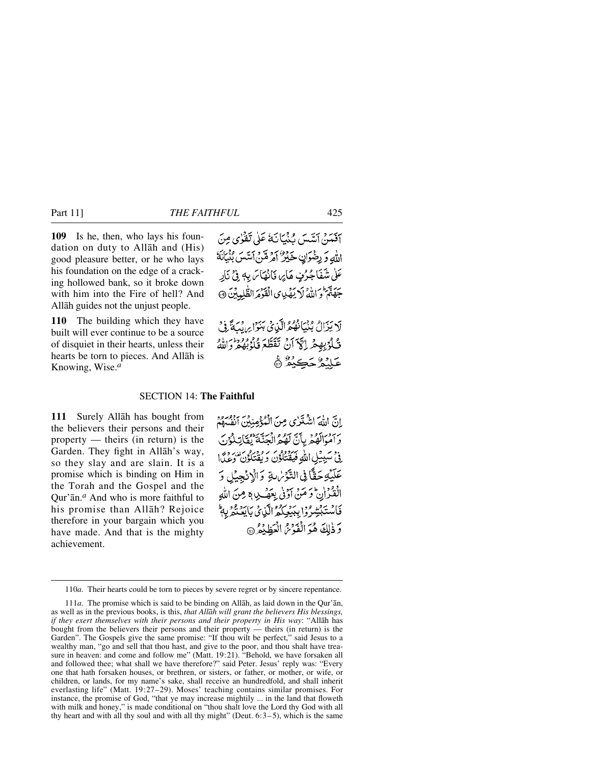**109** Is he, then, who lays his foundation on duty to Allåh and (His) good pleasure better, or he who lays his foundation on the edge of a cracking hollowed bank, so it broke down with him into the Fire of hell? And Allåh guides not the unjust people.

**110** The building which they have built will ever continue to be a source of disquiet in their hearts, unless their hearts be torn to pieces. And Allåh is Knowing, Wise.*<sup>a</sup>*

أَفَيَنَ أَسَّسَ بِنَيْبَانَهُ عَلَى تَقْرُى مِنَ اللَّهِ وَ رِضْوَانٍ حَكِيرٌ أَمْرِ هَنَّ اَسَّسَ بُنْيَانَهُ عَلٰى شَفَاجُرُفٍ هَايِرٍ، فَانْهَاسَ بِهِ فِيْ نَارِ جَهَنَّمَ وَاللَّهُ لَا يَهْدِى الْقَوْمَ الظُّلِمِينَ ۞

لَا يَزَالُ بُنْيَانُهُمُ الَّذِي بَنَوْا ِ رِيَّةً فِي تْ لَوْبِهِمْ إِلَيْ أَنْ تَقَطَّعَ قُلْوُبُهُمْ وَاللَّهُ عَلِّنْهُ جَڪِيْهُ ۞

# SECTION 14: **The Faithful**

**111** Surely Allåh has bought from the believers their persons and their property — theirs (in return) is the Garden. They fight in Allåh's way, so they slay and are slain. It is a promise which is binding on Him in the Torah and the Gospel and the Qur'ån.*<sup>a</sup>* And who is more faithful to his promise than Allåh? Rejoice therefore in your bargain which you have made. And that is the mighty achievement.

انَّ اللَّهَ الشُّنْزَى مِنَ الْمُؤْمِنِينَ الْفُسْهِمُ ٢٠٠ مَوَالَهُمْ بِأَنَّ لَهُمُ الْجَنَّةُ يُقَاتِلُوْنَ فِي سَبِيلِ اللَّهِ فَيَقْنُلُوْنَ وَيُقْتَلُوْنَ وَعِيدًا عَلَيْهِ حَقًّا فِي التَّوْسٰ بَوْ وَالْإِنْجِيْلِ وَ الْقُدْإِنْ وَ مَنْ آوَفِي بِعَهْبِ وَ مِنَ اللَّهِ فَأَسْتَبْشِرُوْا بِبِيُعِيْكُمْ الَّذِيْ بِاَيْعَتْمِ بِهِ ۚ وَذٰلِكَ هُوَ الْفَوْسُ الْعَظِنْعُ ۞

<sup>110</sup>*a*. Their hearts could be torn to pieces by severe regret or by sincere repentance.

<sup>111</sup>*a*. The promise which is said to be binding on Allåh, as laid down in the Qur'ån, as well as in the previous books, is this, *that Allåh will grant the believers His blessings, if they exert themselves with their persons and their property in His way*: "Allåh has bought from the believers their persons and their property — theirs (in return) is the Garden". The Gospels give the same promise: "If thou wilt be perfect," said Jesus to a wealthy man, "go and sell that thou hast, and give to the poor, and thou shalt have treasure in heaven: and come and follow me" (Matt. 19:21). "Behold, we have forsaken all and followed thee; what shall we have therefore?" said Peter. Jesus' reply was: "Every one that hath forsaken houses, or brethren, or sisters, or father, or mother, or wife, or children, or lands, for my name's sake, shall receive an hundredfold, and shall inherit everlasting life" (Matt. 19:27–29). Moses' teaching contains similar promises. For instance, the promise of God, "that ye may increase mightily ... in the land that floweth with milk and honey," is made conditional on "thou shalt love the Lord thy God with all thy heart and with all thy soul and with all thy might" (Deut.  $6:3-5$ ), which is the same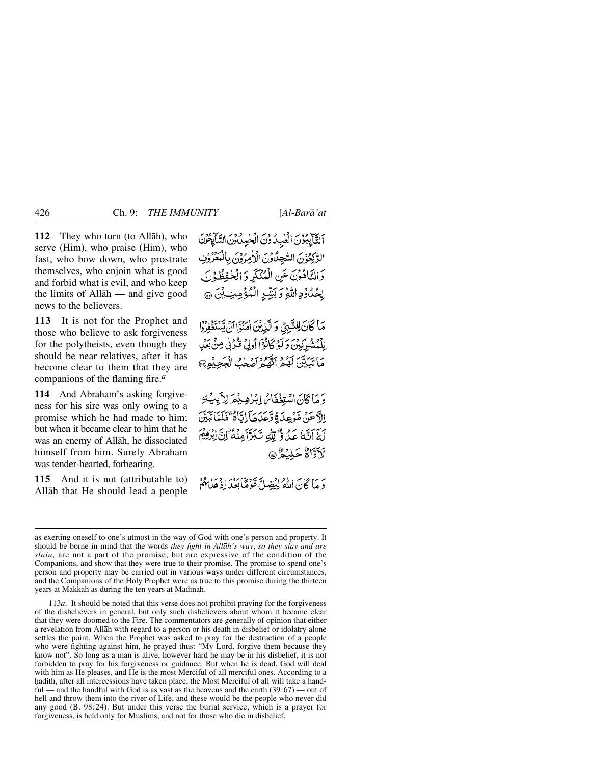**112** They who turn (to Allåh), who serve (Him), who praise (Him), who fast, who bow down, who prostrate themselves, who enjoin what is good and forbid what is evil, and who keep the limits of Allåh — and give good news to the believers.

**113** It is not for the Prophet and those who believe to ask forgiveness for the polytheists, even though they should be near relatives, after it has become clear to them that they are companions of the flaming fire.*<sup>a</sup>*

**114** And Abraham's asking forgiveness for his sire was only owing to a promise which he had made to him; but when it became clear to him that he was an enemy of Allåh, he dissociated himself from him. Surely Abraham was tender-hearted, forbearing.

**115** And it is not (attributable to) Allåh that He should lead a people التَّابِعُ بُرْنَ الْعٰبِ مُ وَنَ الْحٰمِ مُ وَنَ السَّابِعُونَ الرّْكِعُوْنَ السّْجِلّْ وَنَ الْأَمِرُوْنَ بِالْمَعْرُوْنِ وَالنَّاهُونَ عَنِ الْمُنْكَرِ وَالْخُفِظُوْنَ لِحُدُّوْدِ اللَّهِ وَبَشِّرِ الْمُؤْمِنِ بِنَ ۞

مَا كَانَ لِلنَّبِيِّ وَالَّذِينَ امْنُوَّا أَن يَّسْتَغْفِرُوْا الْمُشْرِكِيْنَ وَلَوْكَانُوْٓا أُولَىٰ قُدْنِي مِنْ بَعْلِ مَاتِبَيِّنَ لَهُمْ اتَّهُوْاحُهُجْبُ الْجَحِيْوِنَ

دَ مَا كَانَ اسْتِغْفَاسُ إِبْرٰهِ بِيْمَهِ لِأَبِيَٰ بِيَ الآعَنْ مَّوْعِدَةِ وَّعَدَهَا اِيَّاهُ ۚ فَلَمَّا تَبَيَّنَ لَهَ آتَهُ عَدُوٌّ لِلَّٰهِ تَبَرَّآَمِنْهُ إِنَّ ابْرُهِمْ لآوَّاءُ حَلِيْعُ @

رَ مَا كَانَ اللَّهُ لِيُضِلَّ قَوْمًا بِعَدَ إِذْ عَلَيْهُمْ

113*a*. It should be noted that this verse does not prohibit praying for the forgiveness of the disbelievers in general, but only such disbelievers about whom it became clear that they were doomed to the Fire. The commentators are generally of opinion that either a revelation from Allåh with regard to a person or his death in disbelief or idolatry alone settles the point. When the Prophet was asked to pray for the destruction of a people who were fighting against him, he prayed thus: "My Lord, forgive them because they know not". So long as a man is alive, however hard he may be in his disbelief, it is not forbidden to pray for his forgiveness or guidance. But when he is dead, God will deal with him as He pleases, and He is the most Merciful of all merciful ones. According to a hadith, after all intercessions have taken place, the Most Merciful of all will take a handful — and the handful with God is as vast as the heavens and the earth  $(39:67)$  — out of hell and throw them into the river of Life, and these would be the people who never did any good (B. 98:24). But under this verse the burial service, which is a prayer for forgiveness, is held only for Muslims, and not for those who die in disbelief.

as exerting oneself to one's utmost in the way of God with one's person and property. It should be borne in mind that the words *they fight in Allåh's way*, *so they slay and are slain*, are not a part of the promise, but are expressive of the condition of the Companions, and show that they were true to their promise. The promise to spend one's person and property may be carried out in various ways under different circumstances, and the Companions of the Holy Prophet were as true to this promise during the thirteen years at Makkah as during the ten years at Madinah.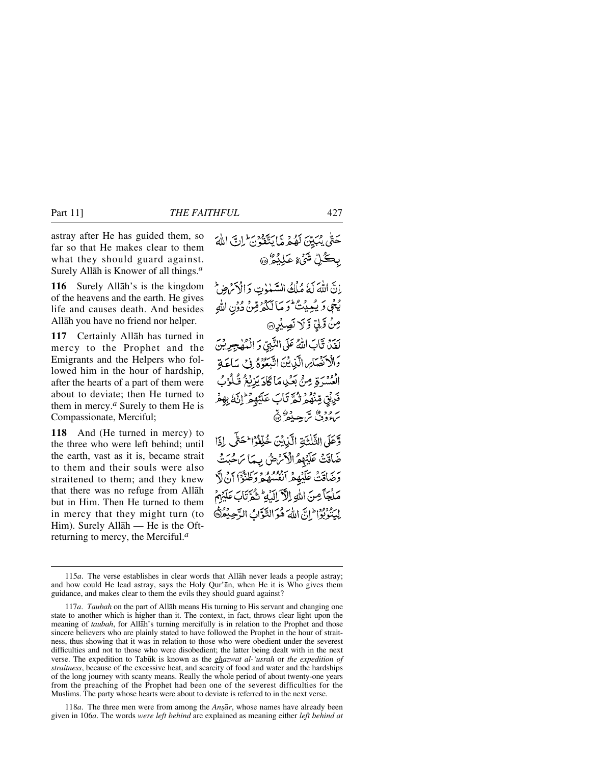astray after He has guided them, so far so that He makes clear to them what they should guard against. Surely Allåh is Knower of all things.*<sup>a</sup>*

**116** Surely Allåh's is the kingdom of the heavens and the earth. He gives life and causes death. And besides Allåh you have no friend nor helper.

**117** Certainly Allåh has turned in mercy to the Prophet and the Emigrants and the Helpers who followed him in the hour of hardship, after the hearts of a part of them were about to deviate; then He turned to them in mercy.*<sup>a</sup>* Surely to them He is Compassionate, Merciful;

**118** And (He turned in mercy) to the three who were left behind; until the earth, vast as it is, became strait to them and their souls were also straitened to them; and they knew that there was no refuge from Allåh but in Him. Then He turned to them in mercy that they might turn (to Him). Surely Allåh — He is the Oftreturning to mercy, the Merciful.*<sup>a</sup>*

حَتَّى يُبَيِّنَ لَهُمْهِ مَّا يَتَّقَوْنَ ۖ إِنَّ اللَّهَ بِڪُلِّ شَيۡءِ عَلِيۡهُ ۖ۞ إِنَّ اللَّهَ لَهُ مُلْكُ السَّنْوِتِ وَالْأَمَٰهِنَّ يْجَى وَ يُعِيِيْتُ لَوَ مَا لَكُمْرِقِينْ دُونِ اللَّهِ مِنْ تَرَكٍّ وَّ لَا نَصِيْرِ @ لَقَدَّ تَّابَ اللَّهُ عَلَى النَّبِيِّ وَ الْمُهْجِرِيْنَ وَالْإِنْهُمَامِ الَّذِينَ اتَّبَعُوهُ فِي سَاعَةِ الْعُسْرَةِ مِنْ بَعْدِ مَا كَادَ يَزِيْغُ قُلُوْبُ فَرِيْقٍ مِّنْهُمْ ثُمَّ تَابَ عَلَيْهِمْ ؕ إِنَّهُ بِهِمْ سرود می سر دور «<br>سرودف س جسیعه (@ وَّعَلَى الثَّلْثَةِ الَّذِيْنَ خُلِّفُوُ اِحْتَّى لِذَا ضَاقَتْ عَلَيْهِمُ الْأَمْنِ شُ بِهَا مَ حُبَتْ وَصَاقَتْ عَلَيْهِمْ أَنْفُسُهُمْ وَظُنُّوْاً أَنْ لاَّ مَلْجَآ مِنَ اللهِ الْآَ الَّذِيهِ تَثْمَرَّنَابَ عَلَيْهِمْ

لِيَنْدَبُوْا إِلَىَّ اللَّهَ هُوَ التَّوَّابُ الدَّجِيْعُرَكَ

118*a*. The three men were from among the *Ansār*, whose names have already been given in 106*a*. The words *were left behind* are explained as meaning either *left behind at*

<sup>115</sup>*a*. The verse establishes in clear words that Allåh never leads a people astray; and how could He lead astray, says the Holy Qur'ån, when He it is Who gives them guidance, and makes clear to them the evils they should guard against?

<sup>117</sup>*a*. *Taubah* on the part of Allåh means His turning to His servant and changing one state to another which is higher than it. The context, in fact, throws clear light upon the meaning of *taubah*, for Allåh's turning mercifully is in relation to the Prophet and those sincere believers who are plainly stated to have followed the Prophet in the hour of straitness, thus showing that it was in relation to those who were obedient under the severest difficulties and not to those who were disobedient; the latter being dealt with in the next verse. The expedition to Tab∂k is known as the *ghazwat al-'usrah* or *the expedition of straitness*, because of the excessive heat, and scarcity of food and water and the hardships of the long journey with scanty means. Really the whole period of about twenty-one years from the preaching of the Prophet had been one of the severest difficulties for the Muslims. The party whose hearts were about to deviate is referred to in the next verse.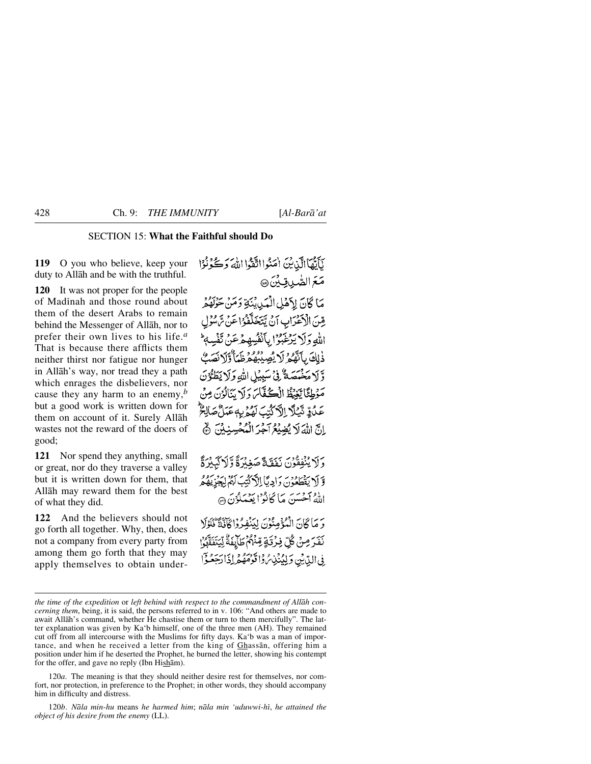# SECTION 15: **What the Faithful should Do**

**119** O you who believe, keep your duty to Allåh and be with the truthful.

**120** It was not proper for the people of Madinah and those round about them of the desert Arabs to remain behind the Messenger of Allåh, nor to prefer their own lives to his life.*<sup>a</sup>* That is because there afflicts them neither thirst nor fatigue nor hunger in Allåh's way, nor tread they a path which enrages the disbelievers, nor cause they any harm to an enemy,*<sup>b</sup>* but a good work is written down for them on account of it. Surely Allåh wastes not the reward of the doers of good;

**121** Nor spend they anything, small or great, nor do they traverse a valley but it is written down for them, that Allåh may reward them for the best of what they did.

**122** And the believers should not go forth all together. Why, then, does not a company from every party from among them go forth that they may apply themselves to obtain under-

يَأَيُّهَا الَّذِينَ امَنُوا اتَّقُوا اللَّهَ وَكُوْنُوْا مَعَ الصَّدِيقِيِّنَ @ مَا كَانَ لِأَهْلِ الْمَدِينَةِ وَمَنْ حَرْبُهُمْ يِّينَ الْأَعْرَابِ أَنْ يَتَخَلَّفُوُا عَنْ مَّ سُوْل الله وَلَا يَدْغَبُوْا بِأَنْفُسِهِ مِرْعَنٌ تَفْسِهِ ذٰلِكَ بِأَنَّهُمْ لَا يُصِيْبُهُمْ ظَمَأٌ وَلَا نَصَبُّ وَّ لَا مَخْمَصَةٌ فِيْ سَبِيْلِ اللَّهِ وَلَا يَطَوُّنَ مَوْطِئًا يَّنِيۡظُ الۡكُفَّآسَ وَلَا سَالَوۡنَ مِنۡ عَدُدٍّ تَّيۡلَآ اِلَّآ ُدُّيۡتَ لَهُمۡ يَهٖ عَمَلُّ مَ إِنَّ اللَّهَ لَا يُضِيْعُ آَجُرَ الْمُحْسِنِينَ ﴾ وَلَا يُنْفِقُوْنَ يَفَقَجَّ صَغِبْرَةً وَلَا كَبِبْرَةً وَّ لَا يَفْطَعُوْنَ وَإِدِيَّا إِلَهَ كَتِبَ لَهُمْ لِيَجْزِيْهُكُمُّ اللهُ أَحْسَنَ مَا كَانُوْا بَعْبَدْدُنَ ۞

وَ مَا كَانَ الْمُؤْمِنُونَ لِيَنْفِيهُ وَاكْأَنَّةً كَلَوْلَا نَفَرَ مِنْ كُلِّ فِرْقَةٍ مِّنْهُمْ طَآيِفَةٌ لِّيَتَفَقَّوُ ۚ إِ فِي الدِّينِ وَلِيُنْبِي وَاقْوَمَهُمْ إِذَا دَحِعُوْا

120*a*. The meaning is that they should neither desire rest for themselves, nor comfort, nor protection, in preference to the Prophet; in other words, they should accompany him in difficulty and distress.

120*b*. *Nåla min-hu* means *he harmed him*; *nåla min 'uduwwi-hß*, *he attained the object of his desire from the enemy* (LL).

*the time of the expedition* or *left behind with respect to the commandment of Allåh concerning them*, being, it is said, the persons referred to in v. 106: "And others are made to await Allåh's command, whether He chastise them or turn to them mercifully". The latter explanation was given by Ka'b himself, one of the three men (AH). They remained cut off from all intercourse with the Muslims for fifty days. Ka'b was a man of importance, and when he received a letter from the king of Ghassån, offering him a position under him if he deserted the Prophet, he burned the letter, showing his contempt for the offer, and gave no reply (Ibn Hishåm).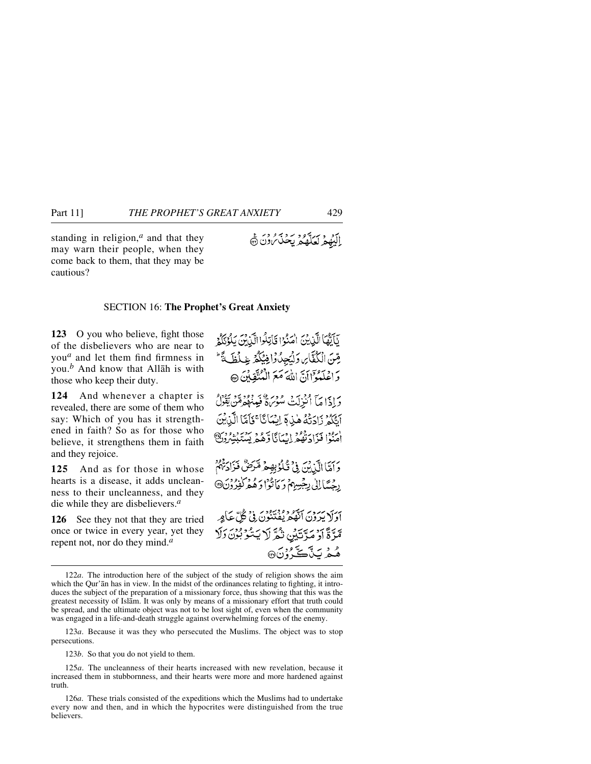standing in religion,*<sup>a</sup>* and that they may warn their people, when they come back to them, that they may be cautious?

# ايد ويرتور برديم دن چ

## SECTION 16: **The Prophet's Great Anxiety**

**123** O you who believe, fight those of the disbelievers who are near to you*<sup>a</sup>* and let them find firmness in you.*<sup>b</sup>* And know that Allåh is with those who keep their duty.

**124** And whenever a chapter is revealed, there are some of them who say: Which of you has it strengthened in faith? So as for those who believe, it strengthens them in faith and they rejoice.

**125** And as for those in whose hearts is a disease, it adds uncleanness to their uncleanness, and they die while they are disbelievers.*<sup>a</sup>*

**126** See they not that they are tried once or twice in every year, yet they repent not, nor do they mind.*<sup>a</sup>*

نَاَبِّهَا الَّذِينَ اٰمَنُوْا قَاتِلُوا الَّذِينَ بَلُوْتِكُمْ قِينَ الْكُفَّايِ وَلْيَجِدُوْا فِيَكْمُ غِيلْظَيَةً ۚ وَاعْلَمُوْٓاَانَّ اللَّهَ مَعَ الْمُنْقِبِينَ ۞ دَادَاهَآ أَنْزِلَتْ مُؤْمَرَةٌ فَبِينَهُمْ مِّنْ يَقُوْلُ آَيَّكُمُ زَادَتُهُ هٰذِ ۚ أَيْمَانَا ۚ فَأَمَّا الَّذِيْنَ اْمَنُوْا فَزَادَتْهُمْ إِيْمَانَا وَّهُمْ يَسْتَبْشِرُوْنَ رَبِّمَا الَّذِينَ فِي تَكْوُبِهِمْ مَّرَضٌ فَزَادَتَهُمْ رِجْسًا إِلَى بِجَسِيْهِمْ وَ مَأْتُوْا وَهُمْ كَفِرُوْنَ@ آدَلَا پَرَوْسَ ٱيْقُومِ وَوْمِيْهِ وَيُرْوِيَ فِي كُلِّ عَبَاهِ ِ مَّرَّةً أَوْ مَرَّتَيْنِ نَّمَّ لَا يَتَّوُّبُونَ وَلَا هُمْ يَدَّكَّ وُنَ®

123*b*. So that you do not yield to them.

<sup>122</sup>*a*. The introduction here of the subject of the study of religion shows the aim which the Qur'an has in view. In the midst of the ordinances relating to fighting, it introduces the subject of the preparation of a missionary force, thus showing that this was the greatest necessity of Islåm. It was only by means of a missionary effort that truth could be spread, and the ultimate object was not to be lost sight of, even when the community was engaged in a life-and-death struggle against overwhelming forces of the enemy.

<sup>123</sup>*a*. Because it was they who persecuted the Muslims. The object was to stop persecutions.

<sup>125</sup>*a*. The uncleanness of their hearts increased with new revelation, because it increased them in stubbornness, and their hearts were more and more hardened against truth.

<sup>126</sup>*a*. These trials consisted of the expeditions which the Muslims had to undertake every now and then, and in which the hypocrites were distinguished from the true believers.